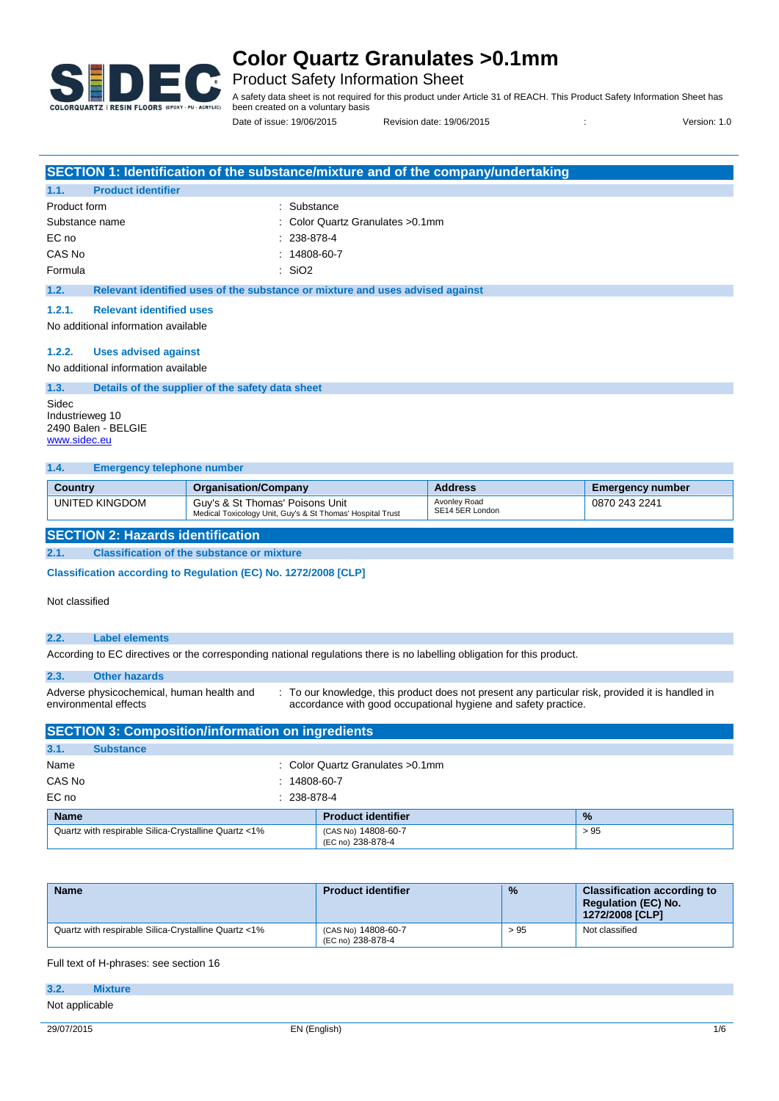

Product Safety Information Sheet

A safety data sheet is not required for this product under Article 31 of REACH. This Product Safety Information Sheet has been created on a voluntary basis

Date of issue: 19/06/2015 Revision date: 19/06/2015 : Version: 1.0

|                                           | SECTION 1: Identification of the substance/mixture and of the company/undertaking |
|-------------------------------------------|-----------------------------------------------------------------------------------|
| <b>Product identifier</b><br>1.1.         |                                                                                   |
| Product form                              | : Substance                                                                       |
| Substance name                            | $\therefore$ Color Quartz Granulates > 0.1 mm                                     |
| EC no                                     | $: 238-878-4$                                                                     |
| CAS No                                    | $: 14808 - 60 - 7$                                                                |
| Formula                                   | : SiO2                                                                            |
| 1.2.                                      | Relevant identified uses of the substance or mixture and uses advised against     |
| <b>Relevant identified uses</b><br>1.2.1. |                                                                                   |
| No additional information available       |                                                                                   |
|                                           |                                                                                   |
| <b>Uses advised against</b><br>1.2.2.     |                                                                                   |

No additional information available

#### **1.3. Details of the supplier of the safety data sheet**

Sidec Industrieweg 10 2490 Balen - BELGIE www.sidec.eu

#### **1.4. Emergency telephone number**

| <b>Country</b> | <b>Organisation/Company</b>                                                                   | <b>Address</b>                  | Emergency number |
|----------------|-----------------------------------------------------------------------------------------------|---------------------------------|------------------|
| UNITED KINGDOM | Guy's & St Thomas' Poisons Unit<br>Medical Toxicology Unit, Guy's & St Thomas' Hospital Trust | Avonley Road<br>SE14 5ER London | 0870 243 2241    |

### **SECTION 2: Hazards identification**

**2.1. Classification of the substance or mixture**

**Classification according to Regulation (EC) No. 1272/2008 [CLP]** 

#### Not classified

### **2.2. Label elements**

According to EC directives or the corresponding national regulations there is no labelling obligation for this product.

| 2.3.                  | <b>Other hazards</b>                                     |                                                                                                                                                                    |
|-----------------------|----------------------------------------------------------|--------------------------------------------------------------------------------------------------------------------------------------------------------------------|
| environmental effects | Adverse physicochemical, human health and                | : To our knowledge, this product does not present any particular risk, provided it is handled in<br>accordance with good occupational hygiene and safety practice. |
|                       | <b>SECTION 3: Composition/information on ingredients</b> |                                                                                                                                                                    |

| 3.1.        | <b>Substance</b>                                     |                                          |               |
|-------------|------------------------------------------------------|------------------------------------------|---------------|
| Name        |                                                      | : Color Quartz Granulates > 0.1mm        |               |
| CAS No      | $: 14808 - 60 - 7$                                   |                                          |               |
| EC no       | $: 238-878-4$                                        |                                          |               |
| <b>Name</b> |                                                      | <b>Product identifier</b>                | $\frac{9}{6}$ |
|             | Quartz with respirable Silica-Crystalline Quartz <1% | (CAS No) 14808-60-7<br>(EC no) 238-878-4 | > 95          |

| <b>Name</b>                                          | <b>Product identifier</b>                | $\frac{9}{6}$ | <b>Classification according to</b><br><b>Regulation (EC) No.</b><br>1272/2008 [CLP] |
|------------------------------------------------------|------------------------------------------|---------------|-------------------------------------------------------------------------------------|
| Quartz with respirable Silica-Crystalline Quartz <1% | (CAS No) 14808-60-7<br>(EC no) 238-878-4 | > 95          | Not classified                                                                      |

Full text of H-phrases: see section 16

| 3.2.           | <b>Mixture</b> |  |  |
|----------------|----------------|--|--|
| Not applicable |                |  |  |
|                |                |  |  |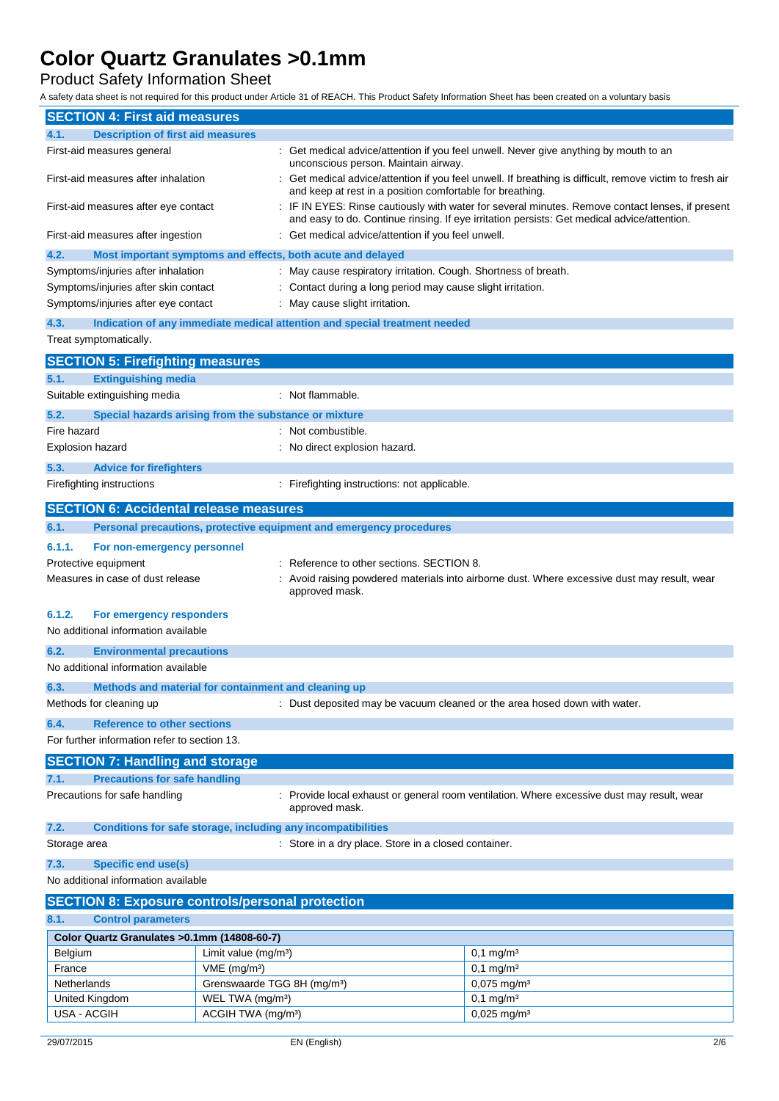Product Safety Information Sheet

A safety data sheet is not required for this product under Article 31 of REACH. This Product Safety Information Sheet has been created on a voluntary basis

| <b>SECTION 4: First aid measures</b>                                                                                                             |                                                                                                                               |                                                                            |                                                                                                                                                                                               |  |  |
|--------------------------------------------------------------------------------------------------------------------------------------------------|-------------------------------------------------------------------------------------------------------------------------------|----------------------------------------------------------------------------|-----------------------------------------------------------------------------------------------------------------------------------------------------------------------------------------------|--|--|
| <b>Description of first aid measures</b><br>4.1.                                                                                                 |                                                                                                                               |                                                                            |                                                                                                                                                                                               |  |  |
| First-aid measures general                                                                                                                       | : Get medical advice/attention if you feel unwell. Never give anything by mouth to an<br>unconscious person. Maintain airway. |                                                                            |                                                                                                                                                                                               |  |  |
| First-aid measures after inhalation                                                                                                              |                                                                                                                               | and keep at rest in a position comfortable for breathing.                  | Get medical advice/attention if you feel unwell. If breathing is difficult, remove victim to fresh air                                                                                        |  |  |
| First-aid measures after eye contact                                                                                                             |                                                                                                                               |                                                                            | IF IN EYES: Rinse cautiously with water for several minutes. Remove contact lenses, if present<br>and easy to do. Continue rinsing. If eye irritation persists: Get medical advice/attention. |  |  |
| First-aid measures after ingestion                                                                                                               |                                                                                                                               | Get medical advice/attention if you feel unwell.                           |                                                                                                                                                                                               |  |  |
| 4.2.                                                                                                                                             |                                                                                                                               | Most important symptoms and effects, both acute and delayed                |                                                                                                                                                                                               |  |  |
| Symptoms/injuries after inhalation                                                                                                               |                                                                                                                               | May cause respiratory irritation. Cough. Shortness of breath.              |                                                                                                                                                                                               |  |  |
| Symptoms/injuries after skin contact                                                                                                             |                                                                                                                               | Contact during a long period may cause slight irritation.                  |                                                                                                                                                                                               |  |  |
| Symptoms/injuries after eye contact                                                                                                              |                                                                                                                               | May cause slight irritation.                                               |                                                                                                                                                                                               |  |  |
| 4.3.                                                                                                                                             |                                                                                                                               | Indication of any immediate medical attention and special treatment needed |                                                                                                                                                                                               |  |  |
| Treat symptomatically.                                                                                                                           |                                                                                                                               |                                                                            |                                                                                                                                                                                               |  |  |
| <b>SECTION 5: Firefighting measures</b>                                                                                                          |                                                                                                                               |                                                                            |                                                                                                                                                                                               |  |  |
| 5.1.<br><b>Extinguishing media</b>                                                                                                               |                                                                                                                               |                                                                            |                                                                                                                                                                                               |  |  |
| Suitable extinguishing media                                                                                                                     |                                                                                                                               | : Not flammable.                                                           |                                                                                                                                                                                               |  |  |
| 5.2.<br>Special hazards arising from the substance or mixture                                                                                    |                                                                                                                               |                                                                            |                                                                                                                                                                                               |  |  |
| Fire hazard                                                                                                                                      |                                                                                                                               | Not combustible.                                                           |                                                                                                                                                                                               |  |  |
| Explosion hazard                                                                                                                                 |                                                                                                                               | No direct explosion hazard.                                                |                                                                                                                                                                                               |  |  |
|                                                                                                                                                  |                                                                                                                               |                                                                            |                                                                                                                                                                                               |  |  |
| 5.3.<br><b>Advice for firefighters</b>                                                                                                           |                                                                                                                               |                                                                            |                                                                                                                                                                                               |  |  |
| Firefighting instructions                                                                                                                        |                                                                                                                               | : Firefighting instructions: not applicable.                               |                                                                                                                                                                                               |  |  |
| <b>SECTION 6: Accidental release measures</b>                                                                                                    |                                                                                                                               |                                                                            |                                                                                                                                                                                               |  |  |
| 6.1.                                                                                                                                             |                                                                                                                               | Personal precautions, protective equipment and emergency procedures        |                                                                                                                                                                                               |  |  |
| 6.1.1.<br>For non-emergency personnel                                                                                                            |                                                                                                                               |                                                                            |                                                                                                                                                                                               |  |  |
| Reference to other sections, SECTION 8.<br>Protective equipment                                                                                  |                                                                                                                               |                                                                            |                                                                                                                                                                                               |  |  |
| Measures in case of dust release<br>Avoid raising powdered materials into airborne dust. Where excessive dust may result, wear<br>approved mask. |                                                                                                                               |                                                                            |                                                                                                                                                                                               |  |  |
| 6.1.2.<br>For emergency responders                                                                                                               |                                                                                                                               |                                                                            |                                                                                                                                                                                               |  |  |
| No additional information available                                                                                                              |                                                                                                                               |                                                                            |                                                                                                                                                                                               |  |  |
| 6.2.<br><b>Environmental precautions</b>                                                                                                         |                                                                                                                               |                                                                            |                                                                                                                                                                                               |  |  |
| No additional information available                                                                                                              |                                                                                                                               |                                                                            |                                                                                                                                                                                               |  |  |
| 6.3.<br>Methods and material for containment and cleaning up                                                                                     |                                                                                                                               |                                                                            |                                                                                                                                                                                               |  |  |
| Methods for cleaning up                                                                                                                          |                                                                                                                               | : Dust deposited may be vacuum cleaned or the area hosed down with water.  |                                                                                                                                                                                               |  |  |
|                                                                                                                                                  |                                                                                                                               |                                                                            |                                                                                                                                                                                               |  |  |
| <b>Reference to other sections</b><br>6.4.                                                                                                       |                                                                                                                               |                                                                            |                                                                                                                                                                                               |  |  |
| For further information refer to section 13.                                                                                                     |                                                                                                                               |                                                                            |                                                                                                                                                                                               |  |  |
| <b>SECTION 7: Handling and storage</b>                                                                                                           |                                                                                                                               |                                                                            |                                                                                                                                                                                               |  |  |
| <b>Precautions for safe handling</b><br>7.1.                                                                                                     |                                                                                                                               |                                                                            |                                                                                                                                                                                               |  |  |
| Precautions for safe handling                                                                                                                    |                                                                                                                               | approved mask.                                                             | Provide local exhaust or general room ventilation. Where excessive dust may result, wear                                                                                                      |  |  |
| 7.2.<br>Conditions for safe storage, including any incompatibilities                                                                             |                                                                                                                               |                                                                            |                                                                                                                                                                                               |  |  |
| Storage area                                                                                                                                     |                                                                                                                               | Store in a dry place. Store in a closed container.                         |                                                                                                                                                                                               |  |  |
| 7.3.<br><b>Specific end use(s)</b>                                                                                                               |                                                                                                                               |                                                                            |                                                                                                                                                                                               |  |  |
| No additional information available                                                                                                              |                                                                                                                               |                                                                            |                                                                                                                                                                                               |  |  |
| <b>SECTION 8: Exposure controls/personal protection</b>                                                                                          |                                                                                                                               |                                                                            |                                                                                                                                                                                               |  |  |
| <b>Control parameters</b><br>8.1.                                                                                                                |                                                                                                                               |                                                                            |                                                                                                                                                                                               |  |  |
| Color Quartz Granulates > 0.1mm (14808-60-7)                                                                                                     |                                                                                                                               |                                                                            |                                                                                                                                                                                               |  |  |
| Belgium                                                                                                                                          | Limit value (mg/m <sup>3</sup> )                                                                                              |                                                                            | $0,1$ mg/m <sup>3</sup>                                                                                                                                                                       |  |  |
| France                                                                                                                                           | $VME$ (mg/m <sup>3</sup> )                                                                                                    |                                                                            | $0,1$ mg/m <sup>3</sup>                                                                                                                                                                       |  |  |
| Grenswaarde TGG 8H (mg/m <sup>3</sup> )<br>Netherlands                                                                                           |                                                                                                                               |                                                                            | 0,075 mg/m <sup>3</sup>                                                                                                                                                                       |  |  |
| United Kingdom                                                                                                                                   | WEL TWA (mg/m <sup>3</sup> )                                                                                                  |                                                                            | $0,1$ mg/m <sup>3</sup>                                                                                                                                                                       |  |  |
| USA - ACGIH                                                                                                                                      | ACGIH TWA (mg/m <sup>3</sup> )<br>$0,025$ mg/m <sup>3</sup>                                                                   |                                                                            |                                                                                                                                                                                               |  |  |
|                                                                                                                                                  |                                                                                                                               |                                                                            |                                                                                                                                                                                               |  |  |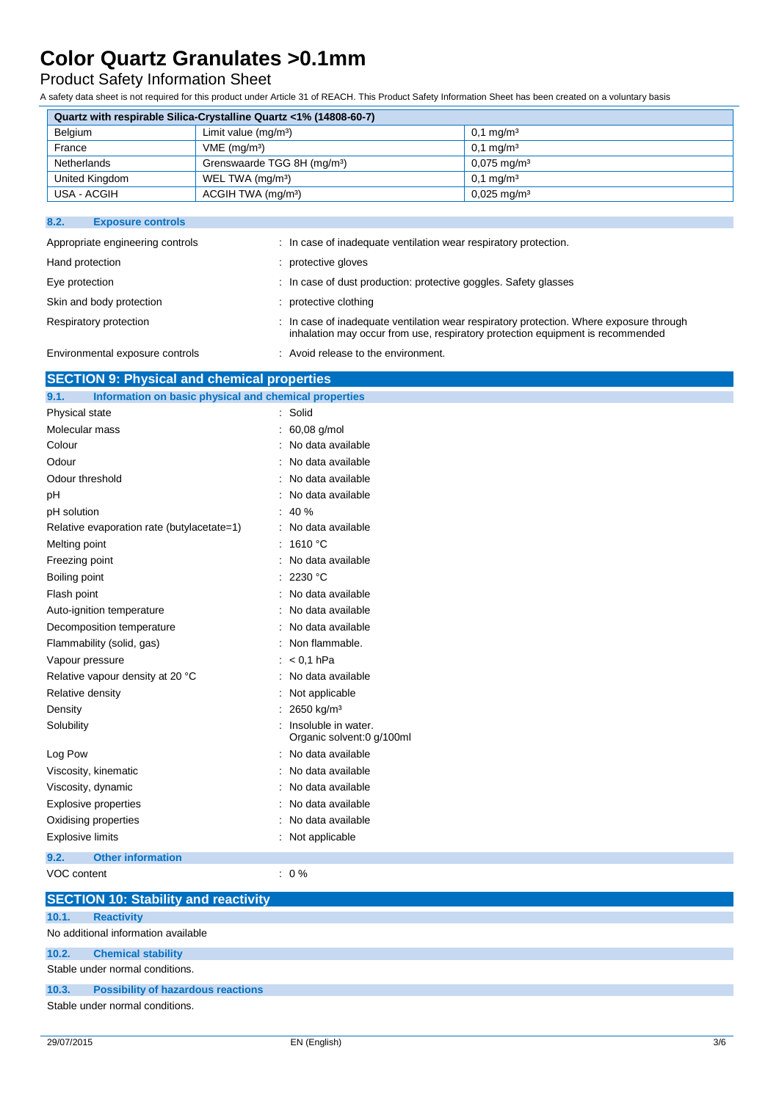## Product Safety Information Sheet

A safety data sheet is not required for this product under Article 31 of REACH. This Product Safety Information Sheet has been created on a voluntary basis

| Quartz with respirable Silica-Crystalline Quartz <1% (14808-60-7) |                                         |                            |  |  |  |  |
|-------------------------------------------------------------------|-----------------------------------------|----------------------------|--|--|--|--|
| Belgium<br>Limit value $(mq/m^3)$<br>$0.1 \,\mathrm{mq/m^3}$      |                                         |                            |  |  |  |  |
| France                                                            | $VME$ (mg/m <sup>3</sup> )              | $0.1 \,\mathrm{mq/m^3}$    |  |  |  |  |
| Netherlands                                                       | Grenswaarde TGG 8H (mg/m <sup>3</sup> ) | $0.075 \,\mathrm{mq/m^3}$  |  |  |  |  |
| United Kingdom                                                    | WEL TWA (mg/m <sup>3</sup> )            | $0.1 \,\mathrm{mq/m^3}$    |  |  |  |  |
| USA - ACGIH                                                       | ACGIH TWA (mg/m <sup>3</sup> )          | $0.025 \,\mathrm{mag/m^3}$ |  |  |  |  |

### **8.2. Exposure controls**

| Appropriate engineering controls | : In case of inadequate ventilation wear respiratory protection.                                                                                                          |
|----------------------------------|---------------------------------------------------------------------------------------------------------------------------------------------------------------------------|
| Hand protection                  | : protective gloves                                                                                                                                                       |
| Eye protection                   | : In case of dust production: protective goggles. Safety glasses                                                                                                          |
| Skin and body protection         | : protective clothing                                                                                                                                                     |
| Respiratory protection           | : In case of inadequate ventilation wear respiratory protection. Where exposure through<br>inhalation may occur from use, respiratory protection equipment is recommended |
| Environmental exposure controls  | : Avoid release to the environment.                                                                                                                                       |

## **SECTION 9: Physical and chemical properties**

| 9.1.<br>Information on basic physical and chemical properties |                                                  |
|---------------------------------------------------------------|--------------------------------------------------|
| Physical state                                                | : Solid                                          |
| Molecular mass                                                | 60,08 g/mol                                      |
| Colour                                                        | No data available                                |
| Odour                                                         | No data available                                |
| Odour threshold                                               | No data available                                |
| pH                                                            | No data available                                |
| pH solution                                                   | 40 %                                             |
| Relative evaporation rate (butylacetate=1)                    | No data available                                |
| Melting point                                                 | 1610 °C                                          |
| Freezing point                                                | No data available                                |
| Boiling point                                                 | 2230 °C                                          |
| Flash point                                                   | No data available                                |
| Auto-ignition temperature                                     | No data available                                |
| Decomposition temperature                                     | No data available                                |
| Flammability (solid, gas)                                     | Non flammable.                                   |
| Vapour pressure                                               | $< 0.1$ hPa                                      |
| Relative vapour density at 20 °C                              | No data available                                |
| Relative density                                              | Not applicable                                   |
| Density                                                       | 2650 kg/m <sup>3</sup>                           |
| Solubility                                                    | Insoluble in water.<br>Organic solvent:0 g/100ml |
| Log Pow                                                       | No data available                                |
| Viscosity, kinematic                                          | No data available                                |
| Viscosity, dynamic                                            | No data available                                |
| <b>Explosive properties</b>                                   | No data available                                |
| Oxidising properties                                          | No data available                                |
| <b>Explosive limits</b>                                       | Not applicable                                   |
| <b>Other information</b><br>9.2.                              |                                                  |
| VOC content                                                   | $: 0\%$                                          |
| <b>SECTION 10: Stability and reactivity</b>                   |                                                  |

|       | <b>SECTION 10: Stability and reactivity</b> |
|-------|---------------------------------------------|
| 10.1. | <b>Reactivity</b>                           |
|       | No additional information available         |
| 10.2. | <b>Chemical stability</b>                   |
|       | Stable under normal conditions.             |
|       | 10.3. Possibility of hazardous reactions    |
|       | Stable under normal conditions.             |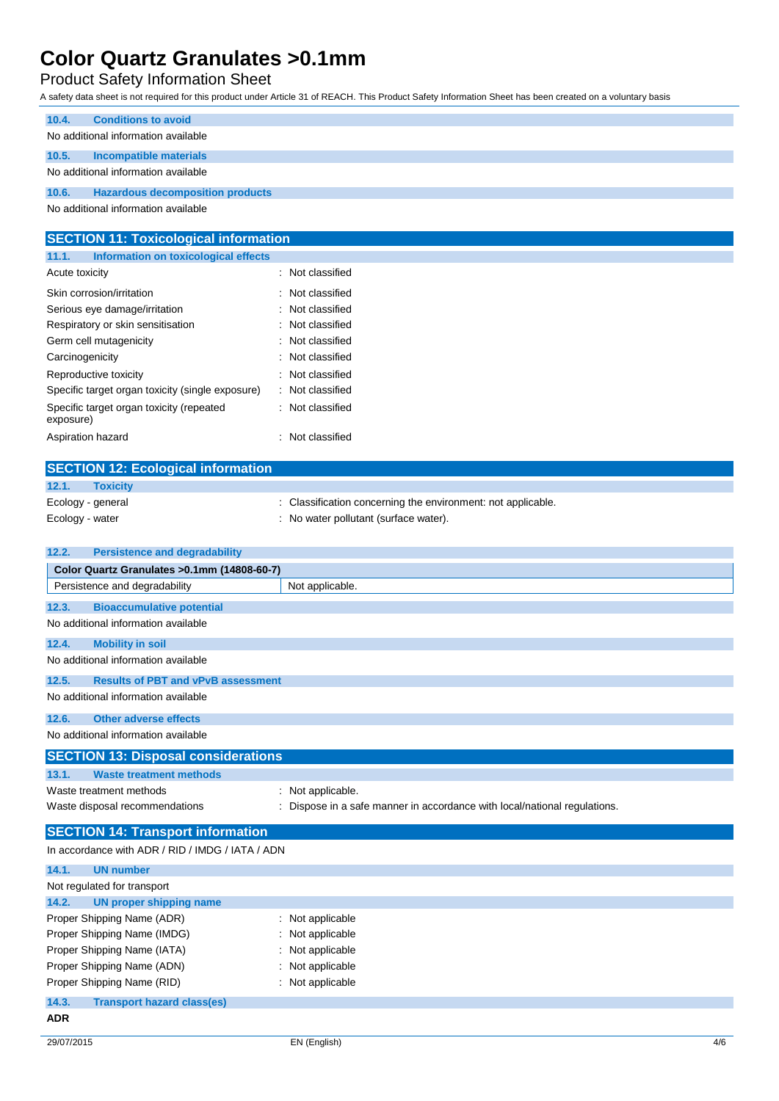## Product Safety Information Sheet

A safety data sheet is not required for this product under Article 31 of REACH. This Product Safety Information Sheet has been created on a voluntary basis

| 10.4. | <b>Conditions to avoid</b>              |
|-------|-----------------------------------------|
|       | No additional information available     |
| 10.5. | Incompatible materials                  |
|       | No additional information available     |
| 10.6. | <b>Hazardous decomposition products</b> |
|       |                                         |

No additional information available

| <b>SECTION 11: Toxicological information</b>          |                  |  |  |  |
|-------------------------------------------------------|------------------|--|--|--|
| Information on toxicological effects<br>11.1.         |                  |  |  |  |
| Acute toxicity                                        | : Not classified |  |  |  |
| Skin corrosion/irritation                             | : Not classified |  |  |  |
| Serious eye damage/irritation                         | : Not classified |  |  |  |
| Respiratory or skin sensitisation                     | : Not classified |  |  |  |
| Germ cell mutagenicity                                | : Not classified |  |  |  |
| Carcinogenicity                                       | : Not classified |  |  |  |
| Reproductive toxicity                                 | : Not classified |  |  |  |
| Specific target organ toxicity (single exposure)      | : Not classified |  |  |  |
| Specific target organ toxicity (repeated<br>exposure) | : Not classified |  |  |  |
| Aspiration hazard                                     | : Not classified |  |  |  |

|                 | <b>SECTION 12: Ecological information</b> |                                                              |
|-----------------|-------------------------------------------|--------------------------------------------------------------|
| 12.1.           | <b>Toxicity</b>                           |                                                              |
|                 | Ecology - general                         | : Classification concerning the environment: not applicable. |
| Ecology - water |                                           | : No water pollutant (surface water).                        |
|                 |                                           |                                                              |

| 12.2.<br><b>Persistence and degradability</b>      |                                                                           |  |  |  |
|----------------------------------------------------|---------------------------------------------------------------------------|--|--|--|
| Color Quartz Granulates > 0.1mm (14808-60-7)       |                                                                           |  |  |  |
| Persistence and degradability                      | Not applicable.                                                           |  |  |  |
| 12.3.<br><b>Bioaccumulative potential</b>          |                                                                           |  |  |  |
| No additional information available                |                                                                           |  |  |  |
| 12.4.<br><b>Mobility in soil</b>                   |                                                                           |  |  |  |
| No additional information available                |                                                                           |  |  |  |
| <b>Results of PBT and vPvB assessment</b><br>12.5. |                                                                           |  |  |  |
| No additional information available                |                                                                           |  |  |  |
| 12.6.<br><b>Other adverse effects</b>              |                                                                           |  |  |  |
| No additional information available                |                                                                           |  |  |  |
| <b>SECTION 13: Disposal considerations</b>         |                                                                           |  |  |  |
| 13.1.<br><b>Waste treatment methods</b>            |                                                                           |  |  |  |
| Waste treatment methods                            | : Not applicable.                                                         |  |  |  |
| Waste disposal recommendations                     | : Dispose in a safe manner in accordance with local/national regulations. |  |  |  |
| <b>SECTION 14: Transport information</b>           |                                                                           |  |  |  |
| In accordance with ADR / RID / IMDG / IATA / ADN   |                                                                           |  |  |  |
| 14.1.<br><b>UN number</b>                          |                                                                           |  |  |  |
| Not regulated for transport                        |                                                                           |  |  |  |
| 14.2.<br><b>UN proper shipping name</b>            |                                                                           |  |  |  |
|                                                    |                                                                           |  |  |  |
| Proper Shipping Name (ADR)                         | : Not applicable                                                          |  |  |  |
| Proper Shipping Name (IMDG)                        | : Not applicable                                                          |  |  |  |

Proper Shipping Name (ADN) : Not applicable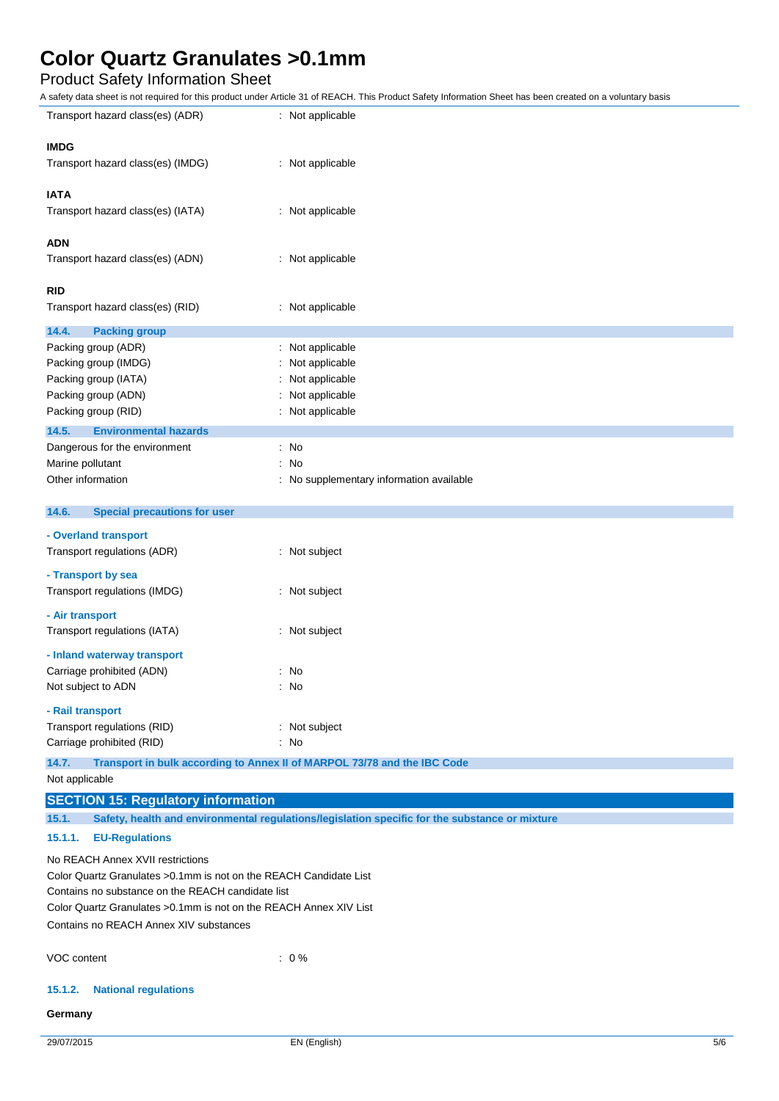## Product Safety Information Sheet

A safety data sheet is not required for this product under Article 31 of REACH. This Product Safety Information Sheet has been created on a voluntary basis

| Transport hazard class(es) (ADR)                                   | : Not applicable                                                                               |  |  |  |
|--------------------------------------------------------------------|------------------------------------------------------------------------------------------------|--|--|--|
| <b>IMDG</b>                                                        |                                                                                                |  |  |  |
| Transport hazard class(es) (IMDG)                                  | : Not applicable                                                                               |  |  |  |
| <b>IATA</b>                                                        |                                                                                                |  |  |  |
| Transport hazard class(es) (IATA)                                  | : Not applicable                                                                               |  |  |  |
|                                                                    |                                                                                                |  |  |  |
| <b>ADN</b>                                                         |                                                                                                |  |  |  |
| Transport hazard class(es) (ADN)                                   | : Not applicable                                                                               |  |  |  |
| RID                                                                |                                                                                                |  |  |  |
| Transport hazard class(es) (RID)                                   | : Not applicable                                                                               |  |  |  |
| 14.4.<br><b>Packing group</b>                                      |                                                                                                |  |  |  |
| Packing group (ADR)                                                | Not applicable                                                                                 |  |  |  |
| Packing group (IMDG)                                               | Not applicable                                                                                 |  |  |  |
| Packing group (IATA)                                               | Not applicable                                                                                 |  |  |  |
| Packing group (ADN)                                                | Not applicable                                                                                 |  |  |  |
| Packing group (RID)                                                | Not applicable                                                                                 |  |  |  |
| 14.5.<br><b>Environmental hazards</b>                              |                                                                                                |  |  |  |
| Dangerous for the environment                                      | No                                                                                             |  |  |  |
| Marine pollutant                                                   | No                                                                                             |  |  |  |
| Other information                                                  | No supplementary information available                                                         |  |  |  |
| 14.6.<br><b>Special precautions for user</b>                       |                                                                                                |  |  |  |
| - Overland transport                                               |                                                                                                |  |  |  |
| Transport regulations (ADR)                                        | : Not subject                                                                                  |  |  |  |
|                                                                    |                                                                                                |  |  |  |
| - Transport by sea                                                 |                                                                                                |  |  |  |
| Transport regulations (IMDG)                                       | : Not subject                                                                                  |  |  |  |
| - Air transport                                                    |                                                                                                |  |  |  |
| Transport regulations (IATA)                                       | Not subject                                                                                    |  |  |  |
| - Inland waterway transport                                        |                                                                                                |  |  |  |
| Carriage prohibited (ADN)                                          | No                                                                                             |  |  |  |
| Not subject to ADN                                                 | No                                                                                             |  |  |  |
| - Rail transport                                                   |                                                                                                |  |  |  |
| Transport regulations (RID)                                        | : Not subject                                                                                  |  |  |  |
| Carriage prohibited (RID)                                          | : No                                                                                           |  |  |  |
| 14.7.                                                              | Transport in bulk according to Annex II of MARPOL 73/78 and the IBC Code                       |  |  |  |
| Not applicable                                                     |                                                                                                |  |  |  |
| <b>SECTION 15: Regulatory information</b>                          |                                                                                                |  |  |  |
| 15.1.                                                              | Safety, health and environmental regulations/legislation specific for the substance or mixture |  |  |  |
| 15.1.1.<br><b>EU-Regulations</b>                                   |                                                                                                |  |  |  |
| No REACH Annex XVII restrictions                                   |                                                                                                |  |  |  |
| Color Quartz Granulates > 0.1mm is not on the REACH Candidate List |                                                                                                |  |  |  |
| Contains no substance on the REACH candidate list                  |                                                                                                |  |  |  |
| Color Quartz Granulates > 0.1mm is not on the REACH Annex XIV List |                                                                                                |  |  |  |

Contains no REACH Annex XIV substances

VOC content : 0 %

### **15.1.2. National regulations**

### **Germany**